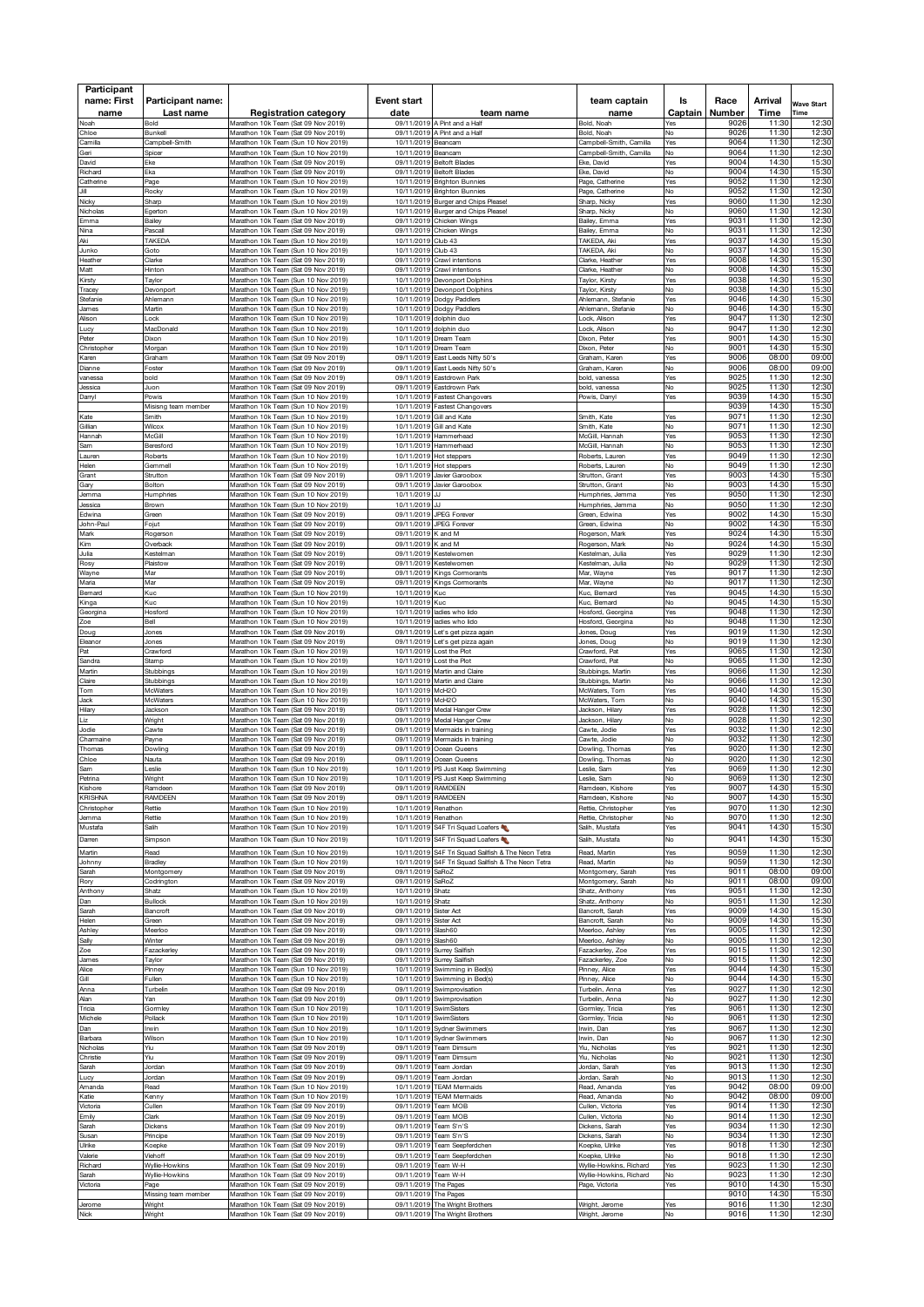| Participant               |                                |                                                                            |                                             |                                                                                    |                                           |               |                 |                 |                           |
|---------------------------|--------------------------------|----------------------------------------------------------------------------|---------------------------------------------|------------------------------------------------------------------------------------|-------------------------------------------|---------------|-----------------|-----------------|---------------------------|
| name: First<br>name       | Participant name:<br>Last name | <b>Registration category</b>                                               | Event start<br>date                         | team name                                                                          | team captain<br>name                      | ls<br>Captain | Race<br>Number  | Arrival<br>Time | <b>Wave Start</b><br>Time |
| Noah                      | Bold                           | Marathon 10k Team (Sat 09 Nov 2019)                                        |                                             | 09/11/2019 A Pint and a Half                                                       | Bold, Noah                                | Yes           | 9026            | 11:30           | 12:30                     |
| Chloe<br>Camilla          | Bunkell<br>Campbell-Smith      | Marathon 10k Team (Sat 09 Nov 2019)<br>Marathon 10k Team (Sun 10 Nov 2019) | 10/11/2019                                  | 09/11/2019 A Pint and a Half<br>Beancam                                            | Bold, Noah<br>Campbell-Smith, Camilla     | No<br>⁄es     | 9026<br>9064    | 11:30<br>11:30  | 12:30<br>12:30            |
| Geri                      | Spice                          | Marathon 10k Team (Sun 10 Nov 2019)<br>Marathon 10k Team (Sat 09 Nov 2019) | 10/11/2019                                  | Beancam                                                                            | Campbell-Smith, Camilla<br>Eke, David     | No            | 9064<br>9004    | 11:30<br>14:30  | 12:30<br>15:30            |
| David<br>Richard          | Eke<br>Eka                     | Marathon 10k Team (Sat 09 Nov 2019)                                        | 09/11/2019                                  | 09/11/2019 Beltoft Blades<br><b>Beltoft Blades</b>                                 | Eke, David                                | Yes<br>No     | 9004            | 14:30           | 15:30                     |
| Catherine<br>Jill         | Page<br>Rocky                  | Marathon 10k Team (Sun 10 Nov 2019)<br>Marathon 10k Team (Sun 10 Nov 2019) | 10/11/2019<br>10/11/2019                    | <b>Brighton Bunnies</b><br><b>Brighton Bunnies</b>                                 | Page, Catherine<br>Page, Catherine        | Yes<br>No     | 9052<br>9052    | 11:30<br>11:30  | 12:30<br>12:30            |
| Nicky                     | Sharp                          | Marathon 10k Team (Sun 10 Nov 2019)                                        |                                             | 10/11/2019 Burger and Chips Please!                                                | Sharp, Nicky                              | ⁄es           | 9060            | 11:30           | 12:30                     |
| Nicholas<br>Emma          | Egerton<br>Bailey              | Marathon 10k Team (Sun 10 Nov 2019)<br>Marathon 10k Team (Sat 09 Nov 2019) |                                             | 10/11/2019 Burger and Chips Please!<br>09/11/2019 Chicken Wings                    | Sharp, Nicky<br>Bailey, Emma              | No<br>Yes     | 9060<br>9031    | 11:30<br>11:30  | 12:30<br>12:30            |
| Nina<br>Aki               | Pascal<br>TAKEDA               | Marathon 10k Team (Sat 09 Nov 2019)<br>Marathon 10k Team (Sun 10 Nov 2019) | 10/11/2019                                  | 09/11/2019 Chicken Wings<br>Club <sub>43</sub>                                     | Bailey, Emma<br>TAKEDA, Aki               | No<br>Yes     | $903 -$<br>9037 | 11:30<br>14:30  | 12:30<br>15:30            |
| Junko                     | Goto                           | Marathon 10k Team (Sun 10 Nov 2019)                                        | 10/11/2019                                  | Club <sub>43</sub>                                                                 | <b>TAKEDA, Aki</b>                        | No            | 9037            | 14:30           | 15:30                     |
| Heathe<br>Matt            | Clarke<br>Hinton               | Marathon 10k Team (Sat 09 Nov 2019)<br>Marathon 10k Team (Sat 09 Nov 2019) | 09/11/2019                                  | Crawl intentions<br>09/11/2019 Crawl intentions                                    | Clarke, Heathe<br>Clarke, Heather         | ⁄es<br>No     | 9008<br>9008    | 14:30<br>14:30  | 15:30<br>15:30            |
| <b>Cirsty</b>             | Taylor                         | Marathon 10k Team (Sun 10 Nov 2019)                                        | 10/11/2019                                  | Devonport Dolphins                                                                 | aylor, Kirsty                             | ⁄es           | 9038            | 14:30           | 15:30                     |
| Tracey<br>Stefanie        | Devonport<br>Ahlemann          | Marathon 10k Team (Sun 10 Nov 2019)<br>Marathon 10k Team (Sun 10 Nov 2019) |                                             | 10/11/2019 Devonport Dolphins<br>10/11/2019 Dodgy Paddlers                         | Tavlor. Kirstv<br>Ahlemann, Stefanie      | No<br>⁄es     | 9038<br>9046    | 14:30<br>14:30  | 15:30<br>15:30            |
| lames                     | Martin                         | Marathon 10k Team (Sun 10 Nov 2019)                                        |                                             | 10/11/2019 Dodgy Paddlers                                                          | Ahlemann, Stefanie                        | No            | 9046            | 14:30<br>11:30  | 15:30<br>12:30            |
| Alison<br>.ucy            | Lock<br>MacDonald              | Marathon 10k Team (Sun 10 Nov 2019)<br>Marathon 10k Team (Sun 10 Nov 2019) | 10/11/2019                                  | 10/11/2019 dolphin duo<br>dolphin duo                                              | Lock, Alison<br>Lock, Alison              | Yes<br>No     | 9047<br>9047    | 11:30           | 12:30                     |
| Peter<br>Christopher      | Dixon<br>Morgan                | Marathon 10k Team (Sun 10 Nov 2019)<br>Marathon 10k Team (Sun 10 Nov 2019) | 10/11/2019                                  | 10/11/2019 Dream Team<br>Dream Team                                                | Dixon, Pete<br>Dixon, Peter               | Yes<br>No     | 9001<br>000.    | 14:30<br>14:30  | 15:30<br>15:30            |
| <b>Caren</b>              | Graham                         | Marathon 10k Team (Sat 09 Nov 2019)                                        | 09/11/2019                                  | East Leeds Nifty 50's                                                              | Graham, Karen                             | Yes           | 9006            | 08:00           | 09:00                     |
| Dianne<br>vanessa         | Foster<br>bloc                 | Marathon 10k Team (Sat 09 Nov 2019)<br>Marathon 10k Team (Sat 09 Nov 2019) | 09/11/2019                                  | 09/11/2019 East Leeds Nifty 50's<br>Eastdrown Park                                 | 3raham, Karen<br>old, vanessa             | No<br>⁄es     | 9006<br>9025    | 08:00<br>11:30  | 09:00<br>12:30            |
| essica                    | Juon                           | Marathon 10k Team (Sat 09 Nov 2019)                                        | 09/11/2019                                  | Eastdrown Park                                                                     | bold, vanessa                             | No            | 9025            | 11:30           | 12:30                     |
| Darryl                    | Powis<br>Misisng team member   | Marathon 10k Team (Sun 10 Nov 2019)<br>Marathon 10k Team (Sun 10 Nov 2019) |                                             | 10/11/2019 Fastest Changovers<br>10/11/2019 Fastest Changovers                     | Powis, Danyl                              | Yes           | 9039<br>9039    | 14:30<br>14:30  | 15:30<br>15:30            |
| Kate<br>Gillian           | Smith<br>Wilcox                | Marathon 10k Team (Sun 10 Nov 2019)<br>Marathon 10k Team (Sun 10 Nov 2019) |                                             | 10/11/2019 Gill and Kate<br>10/11/2019 Gill and Kate                               | Smith, Kate<br>Smith, Kate                | Yes<br>No     | 9071<br>9071    | 11:30<br>11:30  | 12:30<br>12:30            |
| Hannah                    | McGill                         | Marathon 10k Team (Sun 10 Nov 2019)                                        |                                             | 10/11/2019 Hammerhead                                                              | McGill, Hannah                            | Yes           | 9053            | 11:30           | 12:30                     |
| 3am<br>.auren             | Beresford<br>Roberts           | Marathon 10k Team (Sun 10 Nov 2019)<br>Marathon 10k Team (Sun 10 Nov 2019) | 10/11/2019                                  | Hammerhead<br>10/11/2019 Hot steppers                                              | McGill, Hannah<br>Roberts, Lauren         | N٥<br>Yes     | 9053<br>9049    | 11:30<br>11:30  | 12:30<br>12:30            |
| Helen                     | Gemmel                         | Marathon 10k Team (Sun 10 Nov 2019)                                        |                                             | 10/11/2019 Hot steppers                                                            | Roberts, Lauren                           | No            | 9049            | 11:30           | 12:30                     |
| Grant<br>Gary             | Strutton<br>Bolton             | Marathon 10k Team (Sat 09 Nov 2019)<br>Marathon 10k Team (Sat 09 Nov 2019) | 09/11/2019<br>09/11/2019                    | Javier Garoobox<br>Javier Garoobox                                                 | Strutton, Grant<br>Strutton, Grant        | ⁄es<br>No     | 9003<br>9003    | 14:30<br>14:30  | 15:30<br>15:30            |
| lemma                     | Humphries                      | Marathon 10k Team (Sun 10 Nov 2019)                                        | 10/11/2019                                  | JJ                                                                                 | Humphries, Jemma                          | ⁄es           | 9050<br>9050    | 11:30<br>11:30  | 12:30<br>12:30            |
| lessica<br>Edwina         | Brown<br>Green                 | Marathon 10k Team (Sun 10 Nov 2019)<br>Marathon 10k Team (Sat 09 Nov 2019) | 10/11/2019 JJ                               | 09/11/2019 JPEG Forever                                                            | Humphries, Jemma<br>Green, Edwina         | No<br>Yes     | 9002            | 14:30           | 15:30                     |
| lohn-Paul<br>Mark         | Fojut<br>Rogerson              | Marathon 10k Team (Sat 09 Nov 2019)<br>Marathon 10k Team (Sat 09 Nov 2019) | 09/11/2019 K and M                          | 09/11/2019 JPEG Forever                                                            | Green, Edwina<br>Rogerson, Mark           | No<br>Yes     | 9002<br>9024    | 14:30<br>14:30  | 15:30<br>15:30            |
| Kim                       | Overback                       | Marathon 10k Team (Sat 09 Nov 2019)                                        | 09/11/2019                                  | K and M                                                                            | Marl<br>Rogerson,                         | No            | 9024            | 14:30           | 15:30                     |
| Julia<br>Rosy             | Kestelman<br>Plaistow          | Marathon 10k Team (Sat 09 Nov 2019)<br>Marathon 10k Team (Sat 09 Nov 2019) | 09/11/2019<br>09/11/2019                    | Kestelwomen<br>Kestelwomen                                                         | Kestelman, Julia<br>lestelman, Julia      | Yes<br>No     | 9029<br>9029    | 11:30<br>11:30  | 12:30<br>12:30            |
| Wayne<br>Maria            | Mar<br>Mar                     | Marathon 10k Team (Sat 09 Nov 2019)<br>Marathon 10k Team (Sat 09 Nov 2019) | 09/11/2019<br>09/11/2019                    | Kings Cormorants<br>Kings Cornorants                                               | Aar, Wayne<br>Mar, Wayne                  | Yes<br>No     | 9017<br>9017    | 11:30<br>11:30  | 12:30<br>12:30            |
| Bernard                   | Kuc                            | Marathon 10k Team (Sun 10 Nov 2019)                                        | 10/11/2019                                  | Kuc                                                                                | Kuc, Bernard                              | ⁄es           | 9045            | 14:30           | 15:30                     |
| Kinga<br>Georgina         | Kuc<br>Hosford                 | Marathon 10k Team (Sun 10 Nov 2019)<br>Marathon 10k Team (Sun 10 Nov 2019) | 10/11/2019 Kuc<br>10/11/2019                | ladies who lido                                                                    | Kuc, Bernard<br>Hosford, Georgina         | No<br>Yes     | 9045<br>9048    | 14:30<br>11:30  | 15:30<br>12:30            |
| Zoe                       | Bell                           | Marathon 10k Team (Sun 10 Nov 2019)                                        |                                             | 10/11/2019 ladies who lido                                                         | Hosford, Georgina                         | No            | 9048            | 11:30           | 12:30                     |
| Douc<br>Eleanor           | Jones<br>Jones                 | Marathon 10k Team (Sat 09 Nov 2019)<br>Marathon 10k Team (Sat 09 Nov 2019) |                                             | 09/11/2019 Let's get pizza again<br>09/11/2019 Let's get pizza again               | Jones, Doug<br>Jones, Douc                | Yes<br>N٥     | 9019<br>9019    | 11:30<br>11:30  | 12:30<br>12:30            |
| Pat                       | Crawford                       | Marathon 10k Team (Sun 10 Nov 2019)                                        |                                             | 10/11/2019 Lost the Plot                                                           | Crawford, Pat                             | Yes           | 9065            | 11:30           | 12:30                     |
| Sandra<br>Martin          | Stamp<br>Stubbings             | Marathon 10k Team (Sun 10 Nov 2019)<br>Marathon 10k Team (Sun 10 Nov 2019) | 10/11/2019<br>10/11/2019                    | Lost the Plot<br>Martin and Claire                                                 | Crawford, Pat<br>Stubbings, Martin        | ٧o<br>⁄es     | 9065<br>9066    | 11:30<br>11:30  | 12:30<br>12:30            |
| Claire<br>Гоm             | Stubbings<br>McWaters          | Marathon 10k Team (Sun 10 Nov 2019)<br>Marathon 10k Team (Sun 10 Nov 2019) | 10/11/2019<br>10/11/2019 McH2O              | Martin and Claire                                                                  | Stubbings, Martin<br>McWaters, Tom        | N٥<br>⁄es     | 9066<br>9040    | 11:30<br>14:30  | 12:30<br>15:30            |
| lack                      | McWaters                       | Marathon 10k Team (Sun 10 Nov 2019)                                        | 10/11/2019 McH2O                            |                                                                                    | McWaters, Tom                             | No            | 9040            | 14:30           | 15:30                     |
| Hilary<br>Liz             | Jackson<br>Wright              | Marathon 10k Team (Sat 09 Nov 2019)<br>Marathon 10k Team (Sat 09 Nov 2019) | 09/11/2019                                  | 09/11/2019 Medal Hanger Crew<br>Medal Hanger Crew                                  | Jackson, Hilary<br>Jackson, Hilary        | Yes<br>No     | 9028<br>9028    | 11:30<br>11:30  | 12:30<br>12:30            |
| Jodie                     | Cawte                          | Marathon 10k Team (Sat 09 Nov 2019)                                        | 09/11/2019                                  | Mermaids in training                                                               | Cawte, Jodie                              | Yes           | 9032            | 11:30           | 12:30                     |
| Charmaine<br>Thomas       | Payne<br>Dowling               | Marathon 10k Team (Sat 09 Nov 2019)<br>Marathon 10k Team (Sat 09 Nov 2019) | 09/11/2019                                  | Mermaids in training<br>09/11/2019 Ocean Queens                                    | Cawte, Jodie<br>Dowling, Thomas           | No<br>Yes     | 9032<br>9020    | 11:30<br>11:30  | 12:30<br>12:30            |
| Chloe<br>Sam              | Nauta<br>eslie                 | Marathon 10k Team (Sat 09 Nov 2019)<br>Marathon 10k Team (Sun 10 Nov 2019) | 09/11/2019                                  | Ocean Queens<br>10/11/2019 PS Just Keep Swimming                                   | Dowling, Thomas<br>eslie, Sam             | ٧o<br>/es     | 902C<br>9069    | 11:30<br>11:30  | 12:30<br>12:30            |
| Petrina                   | Wright                         | Marathon 10k leam (Sun 10 Nov 2019)                                        |                                             | 10/11/2019 PS Just Keep Swimming                                                   | Leslie, Sam                               | No            | ษบ6ะ            | 11.30           | 12:30                     |
| Kishore<br><b>KRISHNA</b> | Ramdeen<br>RAMDEEN             | Marathon 10k Team (Sat 09 Nov 2019)<br>Marathon 10k Team (Sat 09 Nov 2019) | 09/11/2019 RAMDEEN<br>09/11/2019 RAMDEEN    |                                                                                    | Ramdeen, Kishore<br>Ramdeen, Kishore      | Yes<br>No     | 9007<br>9007    | 14:30<br>14:30  | 15:30<br>15:30            |
| Christopher               | Rettie                         | Marathon 10k Team (Sun 10 Nov 2019)                                        | 10/11/2019 Renathon                         |                                                                                    | Rettie, Christopher                       | Yes           | 9070            | 11:30           | 12:30                     |
| Jemma<br>Mustafa          | Rettie<br>Salih                | Marathon 10k Team (Sun 10 Nov 2019)<br>Marathon 10k Team (Sun 10 Nov 2019) | 10/11/2019 Renathon                         | 10/11/2019 S4F Tri Squad Loafers                                                   | Rettie, Christopher<br>Salih, Mustafa     | No<br>Yes     | 9070<br>9041    | 11:30<br>14:30  | 12:30<br>15:30            |
| Darren                    | Simpson                        | Marathon 10k Team (Sun 10 Nov 2019)                                        |                                             | 10/11/2019 S4F Tri Squad Loafers                                                   | Salih, Mustafa                            | No            | 9041            | 14:30           | 15:30                     |
| Martin<br>Johnny          | Read<br>Bradley                | Marathon 10k Team (Sun 10 Nov 2019)<br>Marathon 10k Team (Sun 10 Nov 2019) | 10/11/2019<br>10/11/2019                    | S4F Tri Squad Sailfish & The Neon Tetra<br>S4F Tri Squad Sailfish & The Neon Tetra | Read, Martin<br>Read, Martin              | Yes<br>No     | 9059<br>9059    | 11:30<br>11:30  | 12:30<br>12:30            |
| Sarah                     | Montgomery                     | Marathon 10k Team (Sat 09 Nov 2019)                                        | 09/11/2019                                  | SaRoZ                                                                              | Montgomery, Sarah                         | Yes           | 9011            | 08:00           | 09:00                     |
| Rory<br>Anthony           | Codrington<br>Shatz            | Marathon 10k Team (Sat 09 Nov 2019)<br>Marathon 10k Team (Sun 10 Nov 2019) | 09/11/2019 SaRoZ<br>10/11/2019 Shatz        |                                                                                    | Montgomery, Sarah<br>Shatz, Anthony       | No<br>Yes     | 9011<br>9051    | 08:00<br>11:30  | 09:00<br>12:30            |
| Dan                       | <b>Bullock</b>                 | Marathon 10k Team (Sun 10 Nov 2019)                                        | 10/11/2019                                  | Shatz                                                                              | Shatz, Anthony                            | No            | 9051            | 11:30           | 12:30                     |
| Sarah<br>Helen            | Bancroft<br>Green              | Marathon 10k Team (Sat 09 Nov 2019)<br>Marathon 10k Team (Sat 09 Nov 2019) | 09/11/2019<br>09/11/2019                    | Sister Act<br>Sister Act                                                           | Bancroft, Sarah<br>Bancroft, Sarah        | Yes<br>No     | 9009<br>9009    | 14:30<br>14:30  | 15:30<br>15:30            |
| Ashley<br>Sally           | Meerloo<br>Winter              | Marathon 10k Team (Sat 09 Nov 2019)<br>Marathon 10k Team (Sat 09 Nov 2019) | 09/11/2019<br>09/11/2019 Slash60            | Slash60                                                                            | Meerloo, Ashley<br>Meerloo, Ashley        | Yes<br>No     | 9005<br>9005    | 11:30<br>11:30  | 12:30<br>12:30            |
| Zoe                       | azackerley                     | Marathon 10k Team (Sat 09 Nov 2019)                                        |                                             | 09/11/2019 Surrey Sailfish                                                         | azackerley, Zoe                           | Yes           | 9015            | 11:30           | 12:30                     |
| James<br>Alice            | Taylor<br>Pinney               | Marathon 10k Team (Sat 09 Nov 2019)<br>Marathon 10k Team (Sun 10 Nov 2019) |                                             | 09/11/2019 Surrey Sailfish<br>10/11/2019 Swimming in Bed(s)                        | Fazackerley, Zoe<br>Pinney, Alice         | No<br>Yes     | 9015<br>9044    | 11:30<br>14:30  | 12:30<br>15:30            |
| Gill                      | Fullen                         | Marathon 10k Team (Sun 10 Nov 2019)                                        |                                             | 10/11/2019 Swimming in Bed(s)                                                      | Pinney, Alice                             | No            | 9044            | 14:30           | 15:30                     |
| Anna<br>Alan              | Turbelin<br>Yan                | Marathon 10k Team (Sat 09 Nov 2019)<br>Marathon 10k Team (Sat 09 Nov 2019) | 09/11/2019                                  | 09/11/2019 Swimprovisation<br>Swimprovisation                                      | Turbelin, Anna<br>Turbelin, Anna          | Yes<br>No     | 9027<br>9027    | 11:30<br>11:30  | 12:30<br>12:30            |
| Tricia<br>Michele         | Gormley<br>Pollack             | Marathon 10k Team (Sun 10 Nov 2019)<br>Marathon 10k Team (Sun 10 Nov 2019) | 10/11/2019<br>10/11/2019                    | <b>SwimSisters</b><br>SwimSisters                                                  | Gormley, Tricia<br>Gormley, Tricia        | Yes<br>No     | 9061<br>9061    | 11:30<br>11:30  | 12:30<br>12:30            |
| Dan                       | Irwin                          | Marathon 10k Team (Sun 10 Nov 2019)                                        | 10/11/2019                                  | <b>Sydner Swimmers</b>                                                             | Irwin, Dan                                | Yes           | 9067            | 11:30           | 12:30                     |
| Barbara<br>Nicholas       | Wilson<br>Yiu                  | Marathon 10k Team (Sun 10 Nov 2019)<br>Marathon 10k Team (Sat 09 Nov 2019) | 09/11/2019                                  | 10/11/2019 Sydner Swimmers<br>Team Dimsum                                          | Irwin, Dan<br>Yiu, Nicholas               | No<br>Yes     | 9067<br>9021    | 11:30<br>11:30  | 12:30<br>12:30            |
| Christie                  | Yiu                            | Marathon 10k Team (Sat 09 Nov 2019)                                        |                                             | 09/11/2019 Team Dimsum                                                             | Yiu, Nicholas                             | No            | 9021            | 11:30           | 12:30                     |
| Sarah<br>Lucy             | Jordan<br>Jordan               | Marathon 10k Team (Sat 09 Nov 2019)<br>Marathon 10k Team (Sat 09 Nov 2019) |                                             | 09/11/2019 Team Jordan<br>09/11/2019 Team Jordan                                   | Jordan, Sarah<br>Jordan, Sarah            | Yes<br>No     | 9013<br>9013    | 11:30<br>11:30  | 12:30<br>12:30            |
| Amanda<br>Katie           | Read<br>Kenny                  | Marathon 10k Team (Sun 10 Nov 2019)<br>Marathon 10k Team (Sun 10 Nov 2019) |                                             | 10/11/2019 TEAM Mermaids<br>10/11/2019 TEAM Mermaids                               | Read, Amanda<br>Read, Amanda              | Yes<br>No     | 9042<br>9042    | 08:00<br>08:00  | 09:00<br>09:00            |
| Victoria                  | Cullen                         | Marathon 10k Team (Sat 09 Nov 2019)                                        |                                             | 09/11/2019 Team MOB                                                                | Cullen, Victoria                          | Yes           | 9014            | 11:30           | 12:30                     |
| Emily<br>Sarah            | Clark<br>Dickens               | Marathon 10k Team (Sat 09 Nov 2019)<br>Marathon 10k Team (Sat 09 Nov 2019) | 09/11/2019 Team MOB                         | 09/11/2019 Team S'n'S                                                              | Cullen, Victoria<br>Dickens, Sarah        | No<br>Yes     | 9014<br>9034    | 11:30<br>11:30  | 12:30<br>12:30            |
| Susan                     | Principe                       | Marathon 10k Team (Sat 09 Nov 2019)                                        |                                             | 09/11/2019 Team S'n'S                                                              | Dickens, Sarah                            | No            | 9034            | 11:30           | 12:30                     |
| Ulrike<br>Valerie         | Koepke<br>Viehoff              | Marathon 10k Team (Sat 09 Nov 2019)<br>Marathon 10k Team (Sat 09 Nov 2019) |                                             | 09/11/2019 Team Seepferdchen<br>09/11/2019 Team Seepferdchen                       | Koepke, Ulrike<br>Koepke, Ulrike          | Yes<br>No     | 9018<br>9018    | 11:30<br>11:30  | 12:30<br>12:30            |
| Richard                   | Wyllie-Howkins                 | Marathon 10k Team (Sat 09 Nov 2019)                                        | 09/11/2019 Team W-H                         |                                                                                    | Wyllie-Howkins, Richard                   | Yes           | 9023<br>9023    | 11:30<br>11:30  | 12:30<br>12:30            |
| Sarah<br>Victoria         | Wyllie-Howkins<br>Page         | Marathon 10k Team (Sat 09 Nov 2019)<br>Marathon 10k Team (Sat 09 Nov 2019) | 09/11/2019 Team W-H<br>09/11/2019 The Pages |                                                                                    | Wyllie-Howkins, Richard<br>Page, Victoria | No<br>Yes     | 9010            | 14:30           | 15:30                     |
| Jerome                    | Missing team member<br>Wright  | Marathon 10k Team (Sat 09 Nov 2019)<br>Marathon 10k Team (Sat 09 Nov 2019) | 09/11/2019 The Pages                        | 09/11/2019 The Wright Brothers                                                     | Wright, Jerome                            | Yes           | 9010<br>9016    | 14:30<br>11:30  | 15:30<br>12:30            |
| Nick                      | Wright                         | Marathon 10k Team (Sat 09 Nov 2019)                                        |                                             | 09/11/2019 The Wright Brothers                                                     | Wright, Jerome                            | No            | 9016            | 11:30           | 12:30                     |